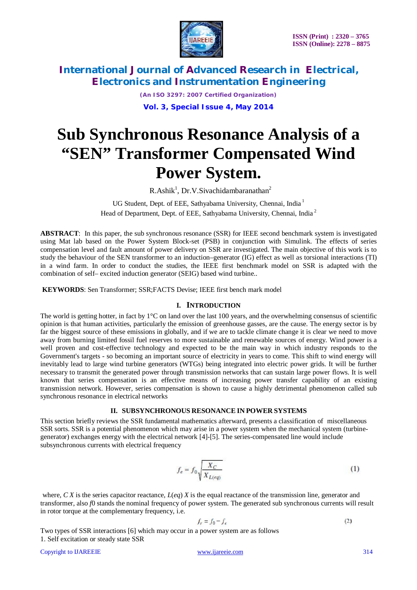

*(An ISO 3297: 2007 Certified Organization)* **Vol. 3, Special Issue 4, May 2014**

# **Sub Synchronous Resonance Analysis of a "SEN" Transformer Compensated Wind Power System.**

 $R.Ashik<sup>1</sup>, Dr.V.Sivachidambaranathan<sup>2</sup>$ 

UG Student, Dept. of EEE, Sathyabama University, Chennai, India<sup>1</sup> Head of Department, Dept. of EEE, Sathyabama University, Chennai, India<sup>2</sup>

**ABSTRACT**: In this paper, the sub synchronous resonance (SSR) for IEEE second benchmark system is investigated using Mat lab based on the Power System Block-set (PSB) in conjunction with Simulink. The effects of series compensation level and fault amount of power delivery on SSR are investigated. The main objective of this work is to study the behaviour of the SEN transformer to an induction–generator (IG) effect as well as torsional interactions (TI) in a wind farm. In order to conduct the studies, the IEEE first benchmark model on SSR is adapted with the combination of self– excited induction generator (SEIG) based wind turbine..

**KEYWORDS**: Sen Transformer; SSR;FACTS Devise; IEEE first bench mark model

### **I. INTRODUCTION**

The world is getting hotter, in fact by  $1^{\circ}$ C on land over the last 100 years, and the overwhelming consensus of scientific opinion is that human activities, particularly the emission of greenhouse gasses, are the cause. The energy sector is by far the biggest source of these emissions in globally, and if we are to tackle climate change it is clear we need to move away from burning limited fossil fuel reserves to more sustainable and renewable sources of energy. Wind power is a well proven and cost-effective technology and expected to be the main way in which industry responds to the Government's targets - so becoming an important source of electricity in years to come. This shift to wind energy will inevitably lead to large wind turbine generators (WTGs) being integrated into electric power grids. It will be further necessary to transmit the generated power through transmission networks that can sustain large power flows. It is well known that series compensation is an effective means of increasing power transfer capability of an existing transmission network. However, series compensation is shown to cause a highly detrimental phenomenon called sub synchronous resonance in electrical networks

### **II. SUBSYNCHRONOUS RESONANCE IN POWER SYSTEMS**

This section briefly reviews the SSR fundamental mathematics afterward, presents a classification of miscellaneous SSR sorts. SSR is a potential phenomenon which may arise in a power system when the mechanical system (turbinegenerator) exchanges energy with the electrical network [4]-[5]. The series-compensated line would include subsynchronous currents with electrical frequency

$$
f_e = f_0 \sqrt{\frac{X_C}{X_{L(eq)}}}
$$
\n<sup>(1)</sup>

where, *CX* is the series capacitor reactance,  $L(eq) X$  is the equal reactance of the transmission line, generator and transformer, also *f*0 stands the nominal frequency of power system. The generated sub synchronous currents will result in rotor torque at the complementary frequency, i.e.

$$
f_r = f_0 - f_e \tag{2}
$$

Two types of SSR interactions [6] which may occur in a power system are as follows 1. Self excitation or steady state SSR

Copyright to IJAREEIE www.ijareeie.com 314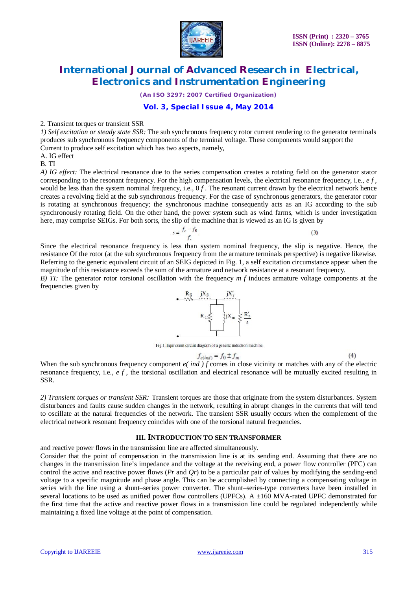

*(An ISO 3297: 2007 Certified Organization)*

### **Vol. 3, Special Issue 4, May 2014**

#### 2. Transient torques or transient SSR

*1) Self excitation or steady state SSR:* The sub synchronous frequency rotor current rendering to the generator terminals produces sub synchronous frequency components of the terminal voltage. These components would support the Current to produce self excitation which has two aspects, namely,

A. IG effect

B. TI

*A) IG effect:* The electrical resonance due to the series compensation creates a rotating field on the generator stator corresponding to the resonant frequency. For the high compensation levels, the electrical resonance frequency, i.e., *e f* , would be less than the system nominal frequency, i.e., 0 *f* . The resonant current drawn by the electrical network hence creates a revolving field at the sub synchronous frequency. For the case of synchronous generators, the generator rotor is rotating at synchronous frequency; the synchronous machine consequently acts as an IG according to the sub synchronously rotating field. On the other hand, the power system such as wind farms, which is under investigation here, may comprise SEIGs. For both sorts, the slip of the machine that is viewed as an IG is given by

$$
s = \frac{f_e - f_0}{f_e} \tag{3}
$$

Since the electrical resonance frequency is less than system nominal frequency, the slip is negative. Hence, the resistance Of the rotor (at the sub synchronous frequency from the armature terminals perspective) is negative likewise. Referring to the generic equivalent circuit of an SEIG depicted in Fig. 1, a self excitation circumstance appear when the magnitude of this resistance exceeds the sum of the armature and network resistance at a resonant frequency.

*B) TI:* The generator rotor torsional oscillation with the frequency *m f* induces armature voltage components at the frequencies given by



Fig.1. Equivalent circuit diagram of a generic induction machine.

$$
f_{e(ind)} = f_0 \pm f_m \tag{4}
$$

When the sub synchronous frequency component  $e$  *ind ) f* comes in close vicinity or matches with any of the electric resonance frequency, i.e., *e f* , the torsional oscillation and electrical resonance will be mutually excited resulting in SSR.

*2) Transient torques or transient SSR:* Transient torques are those that originate from the system disturbances. System disturbances and faults cause sudden changes in the network, resulting in abrupt changes in the currents that will tend to oscillate at the natural frequencies of the network. The transient SSR usually occurs when the complement of the electrical network resonant frequency coincides with one of the torsional natural frequencies.

#### **III. INTRODUCTION TO SEN TRANSFORMER**

and reactive power flows in the transmission line are affected simultaneously.

Consider that the point of compensation in the transmission line is at its sending end. Assuming that there are no changes in the transmission line's impedance and the voltage at the receiving end, a power flow controller (PFC) can control the active and reactive power flows (*Pr* and *Qr*) to be a particular pair of values by modifying the sending-end voltage to a specific magnitude and phase angle. This can be accomplished by connecting a compensating voltage in series with the line using a shunt–series power converter. The shunt–series-type converters have been installed in several locations to be used as unified power flow controllers (UPFCs). A ±160 MVA-rated UPFC demonstrated for the first time that the active and reactive power flows in a transmission line could be regulated independently while maintaining a fixed line voltage at the point of compensation.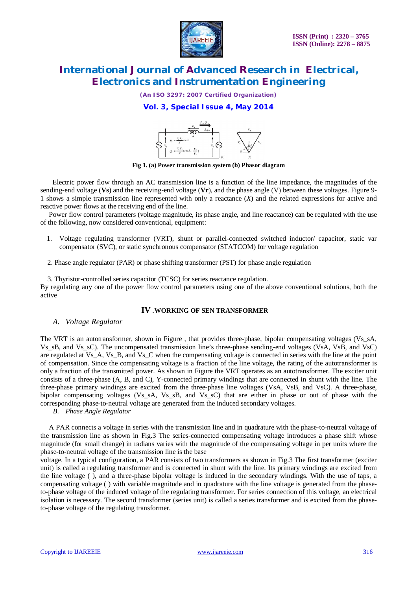

*(An ISO 3297: 2007 Certified Organization)*

### **Vol. 3, Special Issue 4, May 2014**



**Fig 1. (a) Power transmission system (b) Phasor diagram**

 Electric power flow through an AC transmission line is a function of the line impedance, the magnitudes of the sending-end voltage (**Vs**) and the receiving-end voltage (**Vr**), and the phase angle (V) between these voltages. Figure 9- 1 shows a simple transmission line represented with only a reactance (*X*) and the related expressions for active and reactive power flows at the receiving end of the line.

 Power flow control parameters (voltage magnitude, its phase angle, and line reactance) can be regulated with the use of the following, now considered conventional, equipment:

- 1. Voltage regulating transformer (VRT), shunt or parallel-connected switched inductor/ capacitor, static var compensator (SVC), or static synchronous compensator (STATCOM) for voltage regulation
- 2. Phase angle regulator (PAR) or phase shifting transformer (PST) for phase angle regulation

3. Thyristor-controlled series capacitor (TCSC) for series reactance regulation.

By regulating any one of the power flow control parameters using one of the above conventional solutions, both the active

#### **IV** .**WORKING OF SEN TRANSFORMER**

*A. Voltage Regulator*

The VRT is an autotransformer, shown in Figure , that provides three-phase, bipolar compensating voltages (Vs\_sA, Vs\_sB, and Vs\_sC). The uncompensated transmission line's three-phase sending-end voltages (VsA, VsB, and VsC) are regulated at Vs A, Vs B, and Vs C when the compensating voltage is connected in series with the line at the point of compensation. Since the compensating voltage is a fraction of the line voltage, the rating of the autotransformer is only a fraction of the transmitted power. As shown in Figure the VRT operates as an autotransformer. The exciter unit consists of a three-phase (A, B, and C), Y-connected primary windings that are connected in shunt with the line. The three-phase primary windings are excited from the three-phase line voltages (VsA, VsB, and VsC). A three-phase, bipolar compensating voltages (Vs sA, Vs sB, and Vs sC) that are either in phase or out of phase with the corresponding phase-to-neutral voltage are generated from the induced secondary voltages.

*B. Phase Angle Regulator*

 A PAR connects a voltage in series with the transmission line and in quadrature with the phase-to-neutral voltage of the transmission line as shown in Fig.3 The series-connected compensating voltage introduces a phase shift whose magnitude (for small change) in radians varies with the magnitude of the compensating voltage in per units where the phase-to-neutral voltage of the transmission line is the base

voltage. In a typical configuration, a PAR consists of two transformers as shown in Fig.3 The first transformer (exciter unit) is called a regulating transformer and is connected in shunt with the line. Its primary windings are excited from the line voltage ( ), and a three-phase bipolar voltage is induced in the secondary windings. With the use of taps, a compensating voltage ( ) with variable magnitude and in quadrature with the line voltage is generated from the phaseto-phase voltage of the induced voltage of the regulating transformer. For series connection of this voltage, an electrical isolation is necessary. The second transformer (series unit) is called a series transformer and is excited from the phaseto-phase voltage of the regulating transformer.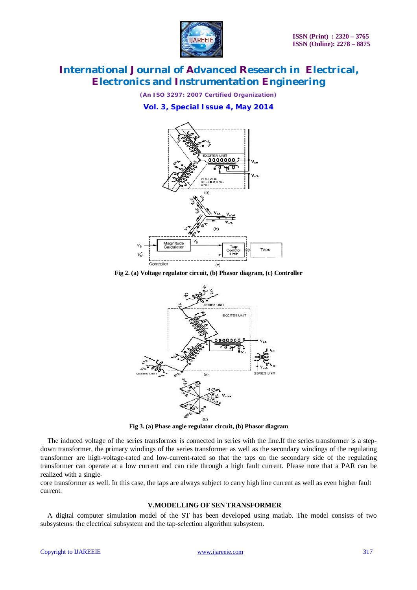

*(An ISO 3297: 2007 Certified Organization)*

**Vol. 3, Special Issue 4, May 2014**



**Fig 2. (a) Voltage regulator circuit, (b) Phasor diagram, (c) Controller** 



**Fig 3. (a) Phase angle regulator circuit, (b) Phasor diagram**

The induced voltage of the series transformer is connected in series with the line.If the series transformer is a stepdown transformer, the primary windings of the series transformer as well as the secondary windings of the regulating transformer are high-voltage-rated and low-current-rated so that the taps on the secondary side of the regulating transformer can operate at a low current and can ride through a high fault current. Please note that a PAR can be realized with a single-

core transformer as well. In this case, the taps are always subject to carry high line current as well as even higher fault current.

#### **V.MODELLING OF SEN TRANSFORMER**

A digital computer simulation model of the ST has been developed using matlab. The model consists of two subsystems: the electrical subsystem and the tap-selection algorithm subsystem.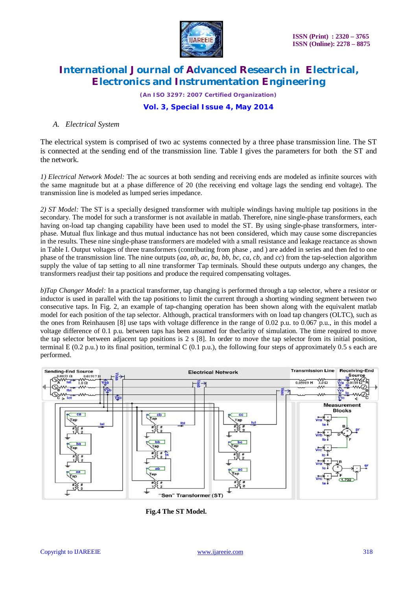

*(An ISO 3297: 2007 Certified Organization)*

### **Vol. 3, Special Issue 4, May 2014**

#### *A. Electrical System*

The electrical system is comprised of two ac systems connected by a three phase transmission line. The ST is connected at the sending end of the transmission line. Table I gives the parameters for both the ST and the network.

*1) Electrical Network Model:* The ac sources at both sending and receiving ends are modeled as infinite sources with the same magnitude but at a phase difference of 20 (the receiving end voltage lags the sending end voltage). The transmission line is modeled as lumped series impedance.

*2) ST Model:* The ST is a specially designed transformer with multiple windings having multiple tap positions in the secondary. The model for such a transformer is not available in matlab. Therefore, nine single-phase transformers, each having on-load tap changing capability have been used to model the ST. By using single-phase transformers, interphase. Mutual flux linkage and thus mutual inductance has not been considered, which may cause some discrepancies in the results. These nine single-phase transformers are modeled with a small resistance and leakage reactance as shown in Table I. Output voltages of three transformers (contributing from phase , and ) are added in series and then fed to one phase of the transmission line. The nine outputs (*aa, ab, ac, ba, bb, bc, ca, cb,* and *cc*) from the tap-selection algorithm supply the value of tap setting to all nine transformer Tap terminals. Should these outputs undergo any changes, the transformers readjust their tap positions and produce the required compensating voltages.

*b)Tap Changer Model:* In a practical transformer, tap changing is performed through a tap selector, where a resistor or inductor is used in parallel with the tap positions to limit the current through a shorting winding segment between two consecutive taps. In Fig. 2, an example of tap-changing operation has been shown along with the equivalent matlab model for each position of the tap selector. Although, practical transformers with on load tap changers (OLTC), such as the ones from Reinhausen [8] use taps with voltage difference in the range of 0.02 p.u. to 0.067 p.u., in this model a voltage difference of 0.1 p.u. between taps has been assumed for theclarity of simulation. The time required to move the tap selector between adjacent tap positions is 2 s [8]. In order to move the tap selector from its initial position, terminal E (0.2 p.u.) to its final position, terminal C (0.1 p.u.), the following four steps of approximately 0.5 s each are performed.



 **Fig.4 The ST Model.**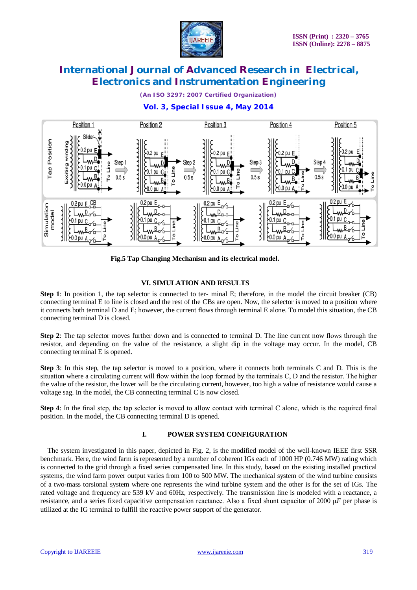

*(An ISO 3297: 2007 Certified Organization)*

### **Vol. 3, Special Issue 4, May 2014**



 **Fig.5 Tap Changing Mechanism and its electrical model.**

#### **VI. SIMULATION AND RESULTS**

**Step 1**: In position 1, the tap selector is connected to ter- minal E; therefore, in the model the circuit breaker (CB) connecting terminal E to line is closed and the rest of the CBs are open. Now, the selector is moved to a position where it connects both terminal D and E; however, the current flows through terminal E alone. To model this situation, the CB connecting terminal D is closed.

**Step 2**: The tap selector moves further down and is connected to terminal D. The line current now flows through the resistor, and depending on the value of the resistance, a slight dip in the voltage may occur. In the model, CB connecting terminal E is opened.

**Step 3**: In this step, the tap selector is moved to a position, where it connects both terminals C and D. This is the situation where a circulating current will flow within the loop formed by the terminals C, D and the resistor. The higher the value of the resistor, the lower will be the circulating current, however, too high a value of resistance would cause a voltage sag. In the model, the CB connecting terminal C is now closed.

**Step 4**: In the final step, the tap selector is moved to allow contact with terminal C alone, which is the required final position. In the model, the CB connecting terminal D is opened.

#### **I. POWER SYSTEM CONFIGURATION**

The system investigated in this paper, depicted in Fig. 2, is the modified model of the well-known IEEE first SSR benchmark. Here, the wind farm is represented by a number of coherent IGs each of 1000 HP (0.746 MW) rating which is connected to the grid through a fixed series compensated line. In this study, based on the existing installed practical systems, the wind farm power output varies from 100 to 500 MW. The mechanical system of the wind turbine consists of a two-mass torsional system where one represents the wind turbine system and the other is for the set of IGs. The rated voltage and frequency are 539 kV and 60Hz, respectively. The transmission line is modeled with a reactance, a resistance, and a series fixed capacitive compensation reactance. Also a fixed shunt capacitor of 2000 μ*F* per phase is utilized at the IG terminal to fulfill the reactive power support of the generator.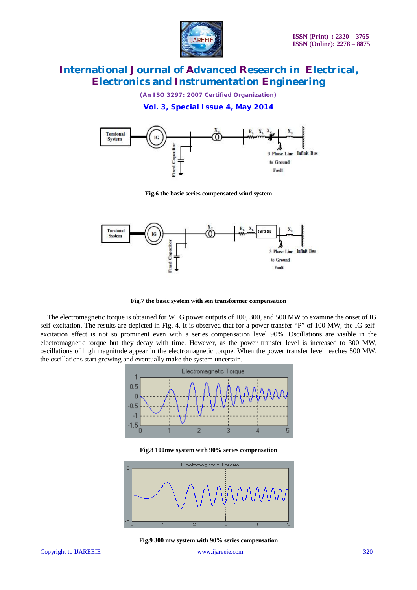

*(An ISO 3297: 2007 Certified Organization)*

**Vol. 3, Special Issue 4, May 2014**



**Fig.6 the basic series compensated wind system**



**Fig.7 the basic system with sen transformer compensation**

The electromagnetic torque is obtained for WTG power outputs of 100, 300, and 500 MW to examine the onset of IG self-excitation. The results are depicted in Fig. 4. It is observed that for a power transfer "P" of 100 MW, the IG selfexcitation effect is not so prominent even with a series compensation level 90%. Oscillations are visible in the electromagnetic torque but they decay with time. However, as the power transfer level is increased to 300 MW, oscillations of high magnitude appear in the electromagnetic torque. When the power transfer level reaches 500 MW, the oscillations start growing and eventually make the system uncertain.



**Fig.8 100mw system with 90% series compensation**



**Fig.9 300 mw system with 90% series compensation**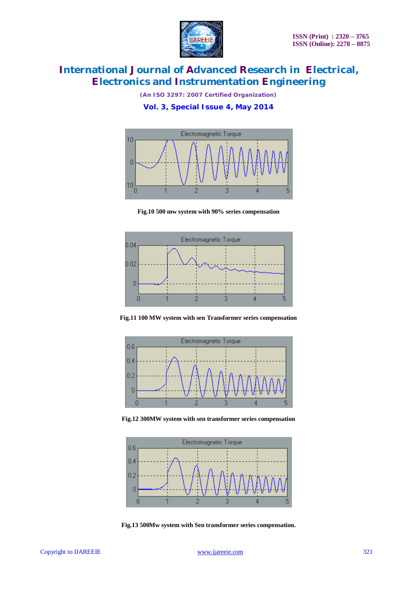

*(An ISO 3297: 2007 Certified Organization)*

**Vol. 3, Special Issue 4, May 2014**











**Fig.12 300MW system with sen transformer series compensation**



**Fig.13 500Mw system with Sen transformer series compensation.**